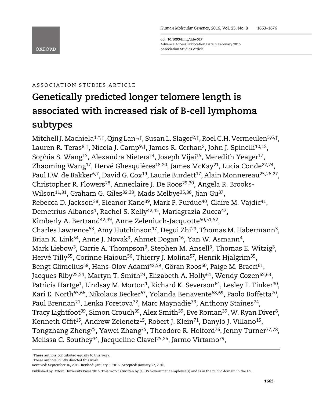Human Molecular Genetics, 2016, Vol. 25, No. 8 1663–1676

doi: 10.1093/hmg/ddw027 Advance Access Publication Date: 9 February 2016 Association Studies Article

# ASSOCIATION STUDIES ARTICLE

# Genetically predicted longer telomere length is associated with increased risk of B-cell lymphoma subtypes

Mitchell J. Machiela<sup>1,\*,†</sup>, Qing Lan<sup>1,†</sup>, Susan L. Slager<sup>2,†</sup>, Roel C.H. Vermeulen<sup>5,6,†</sup>, Lauren R. Teras<sup>8,†</sup>, Nicola J. Camp<sup>9,†</sup>, James R. Cerhan<sup>2</sup>, John J. Spinelli<sup>10,12</sup>, Sophia S. Wang<sup>13</sup>, Alexandra Nieters<sup>14</sup>, Joseph Vijai<sup>15</sup>, Meredith Yeager<sup>17</sup>, Zhaoming Wang<sup>17</sup>, Hervé Ghesquières<sup>18,20</sup>, James McKay<sup>21</sup>, Lucia Conde<sup>22,24</sup>, Paul I.W. de Bakker<sup>6,7</sup>, David G. Cox<sup>19</sup>, Laurie Burdett<sup>17</sup>, Alain Monnereau<sup>25,26,27</sup>, Christopher R. Flowers<sup>28</sup>, Anneclaire J. De Roos<sup>29,30</sup>, Angela R. Brooks-Wilson<sup>11,31</sup>, Graham G. Giles<sup>32,33</sup>, Mads Melbye<sup>35,36</sup>, Jian Gu<sup>37</sup>, Rebecca D. Jackson<sup>38</sup>, Eleanor Kane<sup>39</sup>, Mark P. Purdue<sup>40</sup>, Claire M. Vajdic<sup>41</sup>, Demetrius Albanes<sup>1</sup>, Rachel S. Kelly<sup>42,45</sup>, Mariagrazia Zucca<sup>47</sup>, Kimberly A. Bertrand<sup>42,49</sup>, Anne Zeleniuch-Jacquotte<sup>50,51,52</sup>, Charles Lawrence<sup>53</sup>, Amy Hutchinson<sup>17</sup>, Degui Zhi<sup>23</sup>, Thomas M. Habermann<sup>3</sup>, Brian K. Link<sup>54</sup>, Anne J. Novak<sup>3</sup>, Ahmet Dogan<sup>16</sup>, Yan W. Asmann<sup>4</sup>, Mark Liebow<sup>3</sup>, Carrie A. Thompson<sup>3</sup>, Stephen M. Ansell<sup>3</sup>, Thomas E. Witzig<sup>3</sup>, Hervé Tilly<sup>55</sup>, Corinne Haioun<sup>56</sup>, Thierry J. Molina<sup>57</sup>, Henrik Hjalgrim<sup>35</sup>, Bengt Glimelius<sup>58</sup>, Hans-Olov Adami<sup>42,59</sup>, Göran Roos<sup>60</sup>, Paige M. Bracci<sup>61</sup>, Jacques Riby<sup>22,24</sup>, Martyn T. Smith<sup>24</sup>, Elizabeth A. Holly<sup>61</sup>, Wendy Cozen<sup>62,63</sup>, Patricia Hartge<sup>1</sup>, Lindsay M. Morton<sup>1</sup>, Richard K. Severson<sup>64</sup>, Lesley F. Tinker<sup>30</sup>, Kari E. North<sup>65,66</sup>, Nikolaus Becker<sup>67</sup>, Yolanda Benavente<sup>68,69</sup>, Paolo Boffetta<sup>70</sup>, Paul Brennan<sup>21</sup>, Lenka Foretova<sup>72</sup>, Marc Maynadie<sup>73</sup>, Anthony Staines<sup>74</sup>, Tracy Lightfoot<sup>39</sup>, Simon Crouch<sup>39</sup>, Alex Smith<sup>39</sup>, Eve Roman<sup>39</sup>, W. Ryan Diver<sup>8</sup>, Kenneth Offit<sup>15</sup>, Andrew Zelenetz<sup>15</sup>, Robert J. Klein<sup>71</sup>, Danylo J. Villano<sup>15</sup>, Tongzhang Zheng<sup>75</sup>, Yawei Zhang<sup>75</sup>, Theodore R. Holford<sup>76</sup>, Jenny Turner<sup>77,78</sup>, Melissa C. Southey<sup>34</sup>, Jacqueline Clavel<sup>25,26</sup>, Jarmo Virtamo<sup>79</sup>,

‡ These authors jointly directed this work.

<sup>†</sup> These authors contributed equally to this work.

Received: September 16, 2015. Revised: January 6, 2016. Accepted: January 27, 2016

Published by Oxford University Press 2016. This work is written by (a) US Government employee(s) and is in the public domain in the US.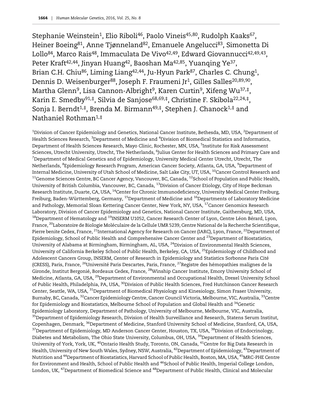Stephanie Weinstein<sup>1</sup>, Elio Riboli<sup>46</sup>, Paolo Vineis<sup>45,80</sup>, Rudolph Kaaks<sup>67</sup>, Heiner Boeing<sup>81</sup>, Anne Tjønneland<sup>82</sup>, Emanuele Angelucci<sup>83</sup>, Simonetta Di Lollo<sup>84</sup>, Marco Rais<sup>48</sup>, Immaculata De Vivo<sup>42,49</sup>, Edward Giovannucci<sup>42,49,43</sup>, Peter Kraft<sup>42,44</sup>, Jinyan Huang<sup>42</sup>, Baoshan Ma<sup>42,85</sup>, Yuanqing Ye<sup>37</sup>, Brian C.H. Chiu<sup>86</sup>, Liming Liang<sup>42,44</sup>, Ju-Hyun Park<sup>87</sup>, Charles C. Chung<sup>1</sup>, Dennis D. Weisenburger<sup>88</sup>, Joseph F. Fraumeni Jr<sup>1</sup>, Gilles Salles<sup>20,89,90</sup>, Martha Glenn<sup>9</sup>, Lisa Cannon-Albright<sup>9</sup>, Karen Curtin<sup>9</sup>, Xifeng Wu<sup>37,‡</sup>, Karin E. Smedby<sup>91,‡</sup>, Silvia de Sanjose<sup>68,69,‡</sup>, Christine F. Skibola<sup>22,24,‡</sup>, Sonja I. Berndt<sup>1,‡</sup>, Brenda M. Birmann<sup>49,‡</sup>, Stephen J. Chanock<sup>1,‡</sup> and Nathaniel Rothman1,‡

 $^{\rm 1}$ Division of Cancer Epidemiology and Genetics, National Cancer Institute, Bethesda, MD, USA,  $^{\rm 2}$ Department of Health Sciences Research, <sup>3</sup>Department of Medicine and <sup>4</sup>Division of Biomedical Statistics and Informatics, Department of Health Sciences Research, Mayo Clinic, Rochester, MN, USA, <sup>5</sup>Institute for Risk Assessment Sciences, Utrecht University, Utrecht, The Netherlands, <sup>6</sup>Julius Center for Health Sciences and Primary Care and  $^7$ Department of Medical Genetics and of Epidemiology, University Medical Center Utrecht, Utrecht, The Netherlands, <sup>8</sup>Epidemiology Research Program, American Cancer Society, Atlanta, GA, USA, <sup>9</sup>Department of Internal Medicine, University of Utah School of Medicine, Salt Lake City, UT, USA, <sup>10</sup>Cancer Control Research and <sup>11</sup>Genome Sciences Centre, BC Cancer Agency, Vancouver, BC, Canada, <sup>12</sup>School of Population and Public Health, University of British Columbia, Vancouver, BC, Canada, 13Division of Cancer Etiology, City of Hope Beckman Research Institute, Duarte, CA, USA, 14Center for Chronic Immunodeficiency, University Medical Center Freiburg, Freiburg, Baden-Württemberg, Germany, <sup>15</sup>Department of Medicine and <sup>16</sup>Departments of Laboratory Medicine and Pathology, Memorial Sloan Kettering Cancer Center, New York, NY, USA, <sup>17</sup>Cancer Genomics Research Laboratory, Division of Cancer Epidemiology and Genetics, National Cancer Institute, Gaithersburg, MD, USA, <sup>18</sup>Department of Hematology and <sup>19</sup>INSERM U1052, Cancer Research Center of Lyon, Centre Léon Bérard, Lyon, France, <sup>20</sup>Laboratoire de Biologie Moléculaire de la Cellule UMR 5239, Centre National de la Recherche Scientifique, Pierre benite Cedex, France, <sup>21</sup>International Agency for Research on Cancer (IARC), Lyon, France, <sup>22</sup>Department of Epidemiology, School of Public Health and Comprehensive Cancer Center and <sup>23</sup>Department of Biostatistics, University of Alabama at Birmingham, Birmingham, AL, USA, 24Division of Environmental Health Sciences, University of California Berkeley School of Public Health, Berkeley, CA, USA, 25Epidemiology of Childhood and Adolescent Cancers Group, INSERM, Center of Research in Epidemiology and Statistics Sorbonne Paris Cité (CRESS), Paris, France, <sup>26</sup>Université Paris Descartes, Paris, France, <sup>27</sup>Registre des hémopathies malignes de la Gironde, Institut Bergonié, Bordeaux Cedex, France, <sup>28</sup>Winship Cancer Institute, Emory University School of Medicine, Atlanta, GA, USA, <sup>29</sup>Department of Environmental and Occupational Health, Drexel University School of Public Health, Philadelphia, PA, USA, <sup>30</sup>Division of Public Health Sciences, Fred Hutchinson Cancer Research Center, Seattle, WA, USA, <sup>31</sup>Department of Biomedical Physiology and Kinesiology, Simon Fraser University, Burnaby, BC, Canada, <sup>32</sup>Cancer Epidemiology Centre, Cancer Council Victoria, Melbourne, VIC, Australia, <sup>33</sup>Centre for Epidemiology and Biostatistics, Melbourne School of Population and Global Health and <sup>34</sup>Genetic Epidemiology Laboratory, Department of Pathology, University of Melbourne, Melbourne, VIC, Australia, <sup>35</sup>Department of Epidemiology Research, Division of Health Surveillance and Research, Statens Serum Institut, Copenhagen, Denmark, 36Department of Medicine, Stanford University School of Medicine, Stanford, CA, USA, <sup>37</sup>Department of Epidemiology, MD Anderson Cancer Center, Houston, TX, USA, <sup>38</sup>Division of Endocrinology, Diabetes and Metabolism, The Ohio State University, Columbus, OH, USA, <sup>39</sup>Department of Health Sciences, University of York, York, UK, 40Ontario Health Study, Toronto, ON, Canada, 41Centre for Big Data Research in Health, University of New South Wales, Sydney, NSW, Australia, <sup>42</sup>Department of Epidemiology, <sup>43</sup>Department of Nutrition and 44Department of Biostatistics, Harvard School of Public Health, Boston, MA, USA, 45MRC-PHE Centre for Environment and Health, School of Public Health and <sup>46</sup>School of Public Health, Imperial College London, London, UK, <sup>47</sup>Department of Biomedical Science and <sup>48</sup>Department of Public Health, Clinical and Molecular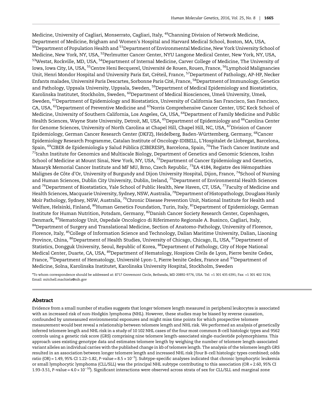Medicine, University of Cagliari, Monserrato, Cagliari, Italy, 49Channing Division of Network Medicine, Department of Medicine, Brigham and Women's Hospital and Harvard Medical School, Boston, MA, USA, <sup>50</sup>Department of Population Health and <sup>51</sup>Department of Environmental Medicine, New York University School of Medicine, New York, NY, USA, <sup>52</sup>Perlmutter Cancer Center, NYU Langone Medical Center, New York, NY, USA, <sup>53</sup>Westat, Rockville, MD, USA, <sup>54</sup>Department of Internal Medicine, Carver College of Medicine, The University of Iowa, Iowa City, IA, USA, 55Centre Heni Becquerel, Université de Rouen, Rouen, France, 56Lymphoid Malignancies Unit, Henri Mondor Hospital and University Paris Est, Créteil, France, <sup>57</sup>Department of Pathology, AP-HP, Necker Enfants malades, Université Paris Descartes, Sorbonne Paris Cité, France, 58Department of Immunology, Genetics and Pathology, Uppsala University, Uppsala, Sweden, <sup>59</sup>Department of Medical Epidemiology and Biostatistics, Karolinska Institutet, Stockholm, Sweden, <sup>60</sup>Department of Medical Biosciences, Umeå University, Umeå, Sweden, 61Department of Epidemiology and Biostatistics, University of California San Francisco, San Francisco, CA, USA, <sup>62</sup>Department of Preventive Medicine and <sup>63</sup>Norris Comprehensive Cancer Center, USC Keck School of Medicine, University of Southern California, Los Angeles, CA, USA, 64Department of Family Medicine and Public Health Sciences, Wayne State University, Detroit, MI, USA, <sup>65</sup>Department of Epidemiology and <sup>66</sup>Carolina Center for Genome Sciences, University of North Carolina at Chapel Hill, Chapel Hill, NC, USA, <sup>67</sup>Division of Cancer Epidemiology, German Cancer Research Center (DKFZ), Heidelberg, Baden-Württemberg, Germany, 68Cancer Epidemiology Research Programme, Catalan Institute of Oncology-IDIBELL, L'Hospitalet de Llobregat, Barcelona, Spain, <sup>69</sup>CIBER de Epidemiología y Salud Pública (CIBERESP), Barcelona, Spain, <sup>70</sup>The Tisch Cancer Institute and  $^{71}$ Icahn Institute for Genomics and Multiscale Biology, Department of Genetics and Genomic Sciences, Icahn School of Medicine at Mount Sinai, New York, NY, USA, <sup>72</sup>Department of Cancer Epidemiology and Genetics, Masaryk Memorial Cancer Institute and MF MU, Brno, Czech Republic, 73EA 4184, Registre des Hémopathies Malignes de Côte d'Or, University of Burgundy and Dijon University Hospital, Dijon, France, <sup>74</sup>School of Nursing and Human Sciences, Dublin City University, Dublin, Ireland, <sup>75</sup>Department of Environmental Health Sciences and <sup>76</sup>Department of Biostatistics, Yale School of Public Health, New Haven, CT, USA, <sup>77</sup>Faculty of Medicine and Health Sciences, Macquarie University, Sydney, NSW, Australia, <sup>78</sup>Department of Histopathology, Douglass Hanly Moir Pathology, Sydney, NSW, Australia, <sup>79</sup>Chronic Disease Prevention Unit, National Institute for Health and Welfare, Helsinki, Finland, <sup>80</sup>Human Genetics Foundation, Turin, Italy, <sup>81</sup>Department of Epidemiology, German Institute for Human Nutrition, Potsdam, Germany, <sup>82</sup>Danish Cancer Society Research Center, Copenhagen, Denmark, 83Hematology Unit, Ospedale Oncologico di Riferimento Regionale A. Businco, Cagliari, Italy, <sup>84</sup>Department of Surgery and Translational Medicine, Section of Anatomo-Pathology, University of Florence, Florence, Italy, <sup>85</sup>College of Information Science and Technology, Dalian Maritime University, Dalian, Liaoning Province, China, <sup>86</sup>Department of Health Studies, University of Chicago, Chicago, IL, USA, <sup>87</sup>Department of Statistics, Dongguk University, Seoul, Republic of Korea, <sup>88</sup>Department of Pathology, City of Hope National Medical Center, Duarte, CA, USA, <sup>89</sup>Department of Hematology, Hospices Civils de Lyon, Pierre benite Cedex, France, <sup>90</sup>Department of Hematology, Université Lyon-1, Pierre benite Cedex, France and <sup>91</sup>Department of Medicine, Solna, Karolinska Institutet, Karolinska University Hospital, Stockholm, Sweden

\*To whom correspondence should be addressed at: 8717 Grovemont Circle, Bethesda, MD 20892-9776, USA. Tel: +1 301 435 6391; Fax: +1 301 402 3134; Email: mitchell.machiela@nih.gov

# Abstract

Evidence from a small number of studies suggests that longer telomere length measured in peripheral leukocytes is associated with an increased risk of non-Hodgkin lymphoma (NHL). However, these studies may be biased by reverse causation, confounded by unmeasured environmental exposures and might miss time points for which prospective telomere measurement would best reveal a relationship between telomere length and NHL risk. We performed an analysis of genetically inferred telomere length and NHL risk in a study of 10 102 NHL cases of the four most common B-cell histologic types and 9562 controls using a genetic risk score (GRS) comprising nine telomere length-associated single-nucleotide polymorphisms. This approach uses existing genotype data and estimates telomere length by weighing the number of telomere length-associated variant alleles an individual carries with the published change in kb of telomere length. The analysis of the telomere length GRS resulted in an association between longer telomere length and increased NHL risk [four B-cell histologic types combined; odds ratio (OR) = 1.49, 95% CI 1.22–1.82, P-value = 8.5 × 10−<sup>5</sup> ]. Subtype-specific analyses indicated that chronic lymphocytic leukemia or small lymphocytic lymphoma (CLL/SLL) was the principal NHL subtype contributing to this association (OR = 2.60, 95% CI 1.93–3.51, P-value = 4.0 × 10<sup>−</sup>10). Significant interactions were observed across strata of sex for CLL/SLL and marginal zone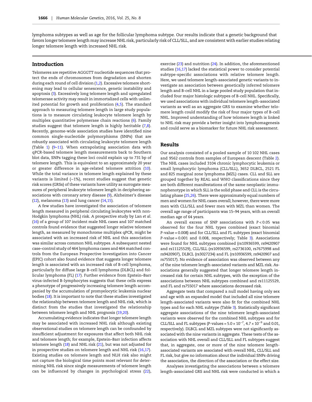lymphoma subtypes as well as age for the follicular lymphoma subtype. Our results indicate that a genetic background that favors longer telomere length may increase NHL risk, particularly risk of CLL/SLL, and are consistent with earlier studies relating longer telomere length with increased NHL risk.

## Introduction

Telomeres are repetitive AGGGTT nucleotide sequences that protect the ends of chromosomes from degradation and shorten during each round of cell division ([1,2](#page-11-0)). Excessive telomere shortening may lead to cellular senescence, genetic instability and apoptosis [\(3](#page-11-0)). Excessively long telomere length and upregulated telomerase activity may result in immortalized cells with unlimited potential for growth and proliferation ([4,5](#page-11-0)). The standard approach to measuring telomere length in large study populations is to measure circulating leukocyte telomere length by multiplex quantitative polymerase chain reactions [\(6\)](#page-11-0). Family studies suggest that telomere length is highly heritable ([7,8\)](#page-11-0). Recently, genome-wide association studies have identified nine common single-nucleotide polymorphisms (SNPs) that are robustly associated with circulating leukocyte telomere length (Table [1](#page-4-0)) [\(9](#page-11-0)–[11](#page-12-0)). When extrapolating association data with qPCR-based telomere length measurements back to Southern blot data, SNPs tagging these loci could explain up to 731 bp of telomere length. This is equivalent to an approximately 20 year or greater difference in age-related telomere attrition ([10\)](#page-12-0). While the total variance in telomere length explained by these variants is limited (∼1%), recent studies suggest that genetic risk scores (GRSs) of these variants have utility as surrogate measures of peripheral leukocyte telomere length in deciphering associations with coronary artery disease ([9\)](#page-11-0), Alzheimer's disease  $(12)$ , melanoma  $(13)$  and lung cancer  $(14,15)$ .

A few studies have investigated the association of telomere length measured in peripheral circulating leukocytes with non-Hodgkin lymphoma (NHL) risk. A prospective study by Lan et al. [\(16\)](#page-12-0) of a group of 107 incident male NHL cases and 107 matched controls found evidence that suggested longer relative telomere length, as measured by monochrome multiplex qPCR, might be associated with an increased risk of NHL and this association was similar across common NHL subtypes. A subsequent nested case–control study of 464 lymphoma cases and 464 matched controls from the European Prospective Investigation into Cancer (EPIC) cohort also found evidence that suggests longer telomere length is associated with an increased risk of B-cell lymphoma, particularly for diffuse large B-cell lymphoma (DLBCL) and follicular lymphoma (FL) ([17](#page-12-0)). Further evidence from Epstein–Barr virus-infected B-lymphocytes suggests that these cells express a phenotype of progressively increasing telomere length accompanied by the accumulation of promyelocytic leukemia nuclear bodies ([18](#page-12-0)). It is important to note that these studies investigated the relationship between telomere length and NHL risk, which is distinct from the studies that investigated the relationship between telomere length and NHL prognosis ([19,20](#page-12-0)).

Accumulating evidence indicates that longer telomere length may be associated with increased NHL risk although existing observational studies on telomere length can be confounded by insufficient adjustment for exposures that affect both NHL risk and telomere length; for example, Epstein–Barr infection affects telomere length [\(18\)](#page-12-0) and NHL risk [\(21](#page-12-0)), but was not adjusted for in prospective studies on telomere length and NHL risk ([16,17\)](#page-12-0). Existing studies on telomere length and NLH risk also might not capture the biological time points most relevant for determining NHL risk since single measurements of telomere length can be influenced by changes in psychological stress ([22\)](#page-12-0),

exercise [\(23\)](#page-12-0) and nutrition [\(24\)](#page-12-0). In addition, the aforementioned studies [\(16,17\)](#page-12-0) lacked the statistical power to consider potential subtype-specific associations with relative telomere length. Here, we used telomere length-associated genetic variants to investigate an association between genetically inferred telomere length and B-cell NHL in a large pooled study population that included four major histologic subtypes of B-cell NHL. Specifically, we used associations with individual telomere length-associated variants as well as an aggregate GRS to examine whether telomere length could modify the risk of four major types of B-cell NHL. Improved understanding of how telomere length is linked to NHL risk may provide a better insight into lymphomagenesis and could serve as a biomarker for future NHL risk assessment.

#### Results

Our analysis consisted of a pooled sample of 10 102 NHL cases and 9562 controls from samples of European descent (Table [2\)](#page-4-0). The NHL cases included 3104 chronic lymphocytic leukemia or small lymphocytic lymphoma (CLL/SLL), 3652 DLBCL, 2521 FL and 825 marginal zone lymphoma (MZL) cases. CLL and SLL are grouped together by REAL and WHO classifications since they are both different manifestations of the same neoplastic immunophenotype in which SLL is the solid phase and CLL is the circulating phase ([25,26](#page-12-0)). There were approximately equal numbers of men and women for NHL cases overall; however, there were more men with CLL/SLL and fewer men with MZL than women. The overall age range of participants was 15–94 years, with an overall median age of 64 years.

An overall excess of SNP associations with P < 0.05 was observed for the four NHL types combined (exact binomial P-value = 0.008) and for CLL/SLL and FL subtypes (exact binomial P-value = 0.001 and 0.008, respectively; Table [3](#page-5-0)). Associations were found for NHL subtypes combined (rs10936599, rs9420907 and rs11125529), CLL/SLL (rs10936599, rs2736100, rs7675998 and rs9420907), DLBCL (rs3027234) and FL (rs10936599, rs9420907 and rs755017). No evidence of association was observed between any of the nine telomere length-associated variants and MZL risk. Associations generally suggested that longer telomere length increased risk for certain NHL subtypes, with the exception of the associations between NHL subtypes combined and rs11125529, and FL and rs755017 where associations decreased risk.

Aggregate tests that compared a null model having only sex and age with an expanded model that included all nine telomere length-associated variants were also fit for the combined NHL types and for each NHL subtype (Table [3](#page-5-0)). Statistically significant aggregate associations of the nine telomere length-associated variants were observed for the combined NHL subtypes and for CLL/SLL and FL subtypes (P-values =  $5.0 \times 10^{-7}$ ,  $4.7 \times 10^{-9}$  and 0.01, respectively). DLBCL and MZL subtypes were not significantly associated with the nine variants in aggregate. These tests of the association with NHL overall and CLL/SLL and FL subtypes suggest that, in aggregate, one or more of the nine telomere lengthassociated variants are associated with overall NHL, CLL/SLL and FL risk, but give no information about the individual SNPs driving the association, the direction of the association or the effect size.

Analyses investigating the associations between a telomere length-associated GRS and NHL risk were conducted in which a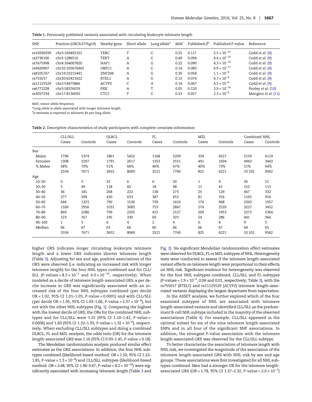<span id="page-4-0"></span>

| Table 1. Previously published variants associated with circulating leukocyte telomere length |  |  |  |  |  |  |  |  |  |  |
|----------------------------------------------------------------------------------------------|--|--|--|--|--|--|--|--|--|--|
|----------------------------------------------------------------------------------------------|--|--|--|--|--|--|--|--|--|--|

| <b>SNP</b> | Position (GRCh37/hg19) | Nearby gene | Short allele | Long allele <sup>a</sup> | MAF  | Published $\beta^b$ | Published P-value     | Reference           |
|------------|------------------------|-------------|--------------|--------------------------|------|---------------------|-----------------------|---------------------|
| rs10936599 | chr3:169492101         | TERC        | т            | C                        | 0.25 | 0.117               | $2.5 \times 10^{-31}$ | Codd et al. (9)     |
| rs2736100  | chr5:1286516           | TERT        | A            | C                        | 0.49 | 0.094               | $4.4 \times 10^{-19}$ | Codd et al. (9)     |
| rs7675998  | chr4:164007820         | NAF1        | A            | G                        | 0.22 | 0.090               | $4.3 \times 10^{-16}$ | Codd et al. (9)     |
| rs9420907  | chr10:105676465        | OBFC1       | A            | C                        | 0.14 | 0.083               | $6.9 \times 10^{-11}$ | Codd et al. (9)     |
| rs8105767  | chr19:22215441         | ZNF208      | A            | G                        | 0.30 | 0.058               | $1.1 \times 10^{-9}$  | Codd et al. (9)     |
| rs755017   | chr20:62421622         | RTEL1       | A            | G                        | 0.12 | 0.074               | $6.7 \times 10^{-9}$  | Codd et al. (9)     |
| rs11125529 | chr2:54475866          | ACYP2       | C            | Α                        | 0.14 | 0.067               | $4.5 \times 10^{-8}$  | Codd et al. (9)     |
| rs6772228  | chr3:58376019          | <b>PXK</b>  | Α            | т                        | 0.05 | 0.120               | $3.9 \times 10^{-10}$ | Pooley et al. (10)  |
| rs3027234  | chr17:8136092          | CTC1        | т            | C                        | 0.23 | 0.057               | $2.3 \times 10^{-8}$  | Mangino et al. (11) |

MAF, minor allele frequency.

<sup>a</sup>Long allele is allele associated with longer telomere length.

 $^{\rm b}$ β-estimate is reported in telomere kb per long allele.

Table 2. Descriptive characteristics of study participants with complete covariate information

|           | CLL/SLL      |          | <b>DLBCL</b> |          |                |          | MZL   |          |         | Combined NHL |  |
|-----------|--------------|----------|--------------|----------|----------------|----------|-------|----------|---------|--------------|--|
|           | Cases        | Controls | Cases        | Controls | Cases          | Controls | Cases | Controls | Cases   | Controls     |  |
| Sex       |              |          |              |          |                |          |       |          |         |              |  |
| Males     | 1796         | 5374     | 1861         | 5452     | 1168           | 5209     | 334   | 4527     | 5159    | 6119         |  |
| Females   | 1308         | 2297     | 1791         | 2617     | 1353           | 2551     | 491   | 1694     | 4943    | 3443         |  |
| % Males   | 58%          | 70%      | 51%          | 68%      | 46%            | 67%      | 40%   | 73%      | 51%     | 64%          |  |
|           | 3104         | 7671     | 3652         | 8069     | 2521           | 7760     | 825   | 6221     | 10 10 2 | 9562         |  |
| Age       |              |          |              |          |                |          |       |          |         |              |  |
| $10 - 20$ | $\mathbf 0$  | 5        | 25           | 6        | 0              | 20       | 1     | 4        | 26      | 21           |  |
| $20 - 30$ | 5            | 49       | 118          | 60       | 18             | 98       | 11    | 41       | 152     | 113          |  |
| $30 - 40$ | 36           | 181      | 268          | 222      | 138            | 273      | 25    | 129      | 467     | 332          |  |
| $40 - 50$ | 277          | 509      | 420          | 633      | 387            | 652      | 81    | 316      | 1165    | 954          |  |
| $50 - 60$ | 644          | 1323     | 790          | 1526     | 739            | 1416     | 170   | 968      | 2343    | 1957         |  |
| $60 - 70$ | 1169         | 2956     | 1031         | 3083     | 753            | 2847     | 274   | 2520     | 3227    | 3452         |  |
| $70 - 80$ | 849          | 2286     | 799          | 2205     | 415            | 2127     | 209   | 1953     | 2272    | 2364         |  |
| $80 - 90$ | 123          | 357      | 195          | 330      | 69             | 323      | 54    | 286      | 441     | 364          |  |
| 90-100    | $\mathbf{1}$ | 5        | 6            | 4        | $\overline{2}$ | 4        | 0     | 4        | 9       | 5            |  |
| Median    | 66           | 67       | 63           | 66       | 60             | 66       | 66    | 67       | 64      | 65           |  |
|           | 3104         | 7671     | 3652         | 8069     | 2521           | 7760     | 825   | 6221     | 10 10 2 | 9562         |  |

higher GRS indicates longer circulating leukocyte telomere length and a lower GRS indicates shorter telomere length (Table [3](#page-5-0)). Adjusting for sex and age, positive associations of the GRS were observed (i.e. indicating an increased risk with longer telomere length) for the four NHL types combined and for CLL/ SLL (P-values =  $8.5 \times 10^{-5}$  and  $4.0 \times 10^{-10}$ , respectively). When modeled as a decile of telomere length-associated GRS, a per decile increase in GRS was significantly associated with an increased risk of the four NHL subtypes combined ( per decile OR = 1.02, 95% CI 1.01–1.03, P-value = 0.0001) and with CLL/SLL (per decile OR = 1.05, 95% CI 1.03–1.06, P-value = 2.37 × 10<sup>-9</sup>), but not with the other NHL subtypes (Fig. [1\)](#page-6-0). Comparing the highest with the lowest decile of GRS, the ORs for the combined NHL subtypes and for CLL/SLL were 1.25 (95% CI 1.10-1.42, P-value = 0.0006) and 1.60 (95% CI 1.32–1.93, P-value = 1.32 × 10<sup>−6</sup>), respectively. When excluding CLL/SLL subtypes and doing a combined DLBCL, FL and MZL analysis, the odds ratio (OR) for the telomere length-associated GRS was 1.16 (95% CI 0.93–1.45, P-value = 0.18).

The Mendelian randomization analysis produced similar effect estimates as the GRS associations. In addition, the four NHL subtypes combined (likelihood-based method: OR = 1.50, 95% CI 1.22– 1.85, P-value =  $1.3 \times 10^{-4}$ ) and CLL/SLL subtypes (likelihood-based method: OR = 2.68, 95% CI 1.96–3.67, P-value =  $8.2 \times 10^{-10}$ ) were significantly associated with increasing telomere length (Table [3](#page-5-0) and Fig. [2](#page-7-0)). No significant Mendelian randomization effect estimates were observed for DLBCL, FL or MZL subtypes of NHL. Heterogeneity tests were conducted to assess if the telomere length-associated variant effects on telomere length were proportional to their effects on NHL risk. Significant evidence for heterogeneity was observed for the four NHL subtypes combined, CLL/SLL and FL subtypes  $(P$ -values =  $1.9 \times 10^{-4}$ , 0.04 and 0.01, respectively; Table [3\)](#page-5-0), with the rs755017 (RTEL1) and rs11125529 (ACYP2) telomere length-associated variants displaying the largest departures from expectation.

In the ASSET analysis, we further explored which of the four examined subtypes of NHL are associated with telomere length-associated variants and identified CLL/SLL as the predominant B-cell NHL subtype included in the majority of the observed associations (Table [4](#page-8-0)). For example, CLL/SLL appeared in the optimal subset for six of the nine telomere length-associated SNPs and in all four of the significant SNP associations. In addition, the strongest P-value association with the telomere length-associated GRS was observed for the CLL/SLL subtype.

To better characterize the association of telomere length with NHL risk, we investigated the magnitude of the association of the telomere length-associated GRS with NHL risk by sex and age groups. These associations were first investigated for all NHL subtypes combined. Men had a stronger OR for the telomere lengthassociated GRS (OR = 1.78, 95% CI 1.37-2.32, P-value =  $2.0 \times 10^{-5}$ )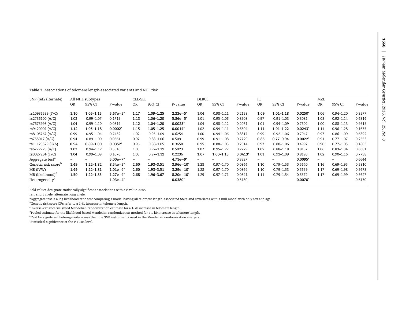| SNP (ref./alternate)            |           | All NHL subtypes |                          | CLL/SLL |               |                  | <b>DLBCL</b>             |               |           | FL.                      |               |           | MZL                      |               |         |
|---------------------------------|-----------|------------------|--------------------------|---------|---------------|------------------|--------------------------|---------------|-----------|--------------------------|---------------|-----------|--------------------------|---------------|---------|
|                                 | <b>OR</b> | 95% CI           | P-value                  | OR      | 95% CI        | P-value          | OR                       | 95% CI        | P-value   | <b>OR</b>                | 95% CI        | P-value   | <b>OR</b>                | 95% CI        | P-value |
| rs10936599 (T/C)                | 1.10      | 1.05–1.15        | $5.67e - 5*$             | 1.17    | $1.09 - 1.25$ | $2.33e-5*$       | 1.04                     | $0.98 - 1.11$ | 0.2158    | 1.09                     | 1.01–1.18     | $0.0250*$ | 1.06                     | $0.94 - 1.20$ | 0.3577  |
| rs2736100 (A/C)                 | 1.03      | $0.99 - 1.07$    | 0.1719                   | 1.13    | $1.06 - 1.20$ | $5.86e - 5*$     | 1.01                     | $0.95 - 1.06$ | 0.8508    | 0.97                     | $0.91 - 1.03$ | 0.3081    | 1.03                     | $0.92 - 1.14$ | 0.6314  |
| rs7675998 (A/G)                 | 1.04      | $0.99 - 1.10$    | 0.0819                   | 1.12    | $1.04 - 1.20$ | $0.0023*$        | 1.04                     | $0.98 - 1.12$ | 0.2071    | 1.01                     | $0.94 - 1.09$ | 0.7602    | 1.00                     | $0.88 - 1.13$ | 0.9515  |
| rs9420907 (A/C)                 | 1.12      | 1.05–1.18        | $0.0002*$                | 1.15    | $1.05 - 1.25$ | $0.0014*$        | 1.02                     | $0.94 - 1.11$ | 0.6504    | 1.11                     | 1.01–1.22     | $0.0243*$ | 1.11                     | $0.96 - 1.28$ | 0.1675  |
| rs8105767 (A/G)                 | 0.99      | $0.95 - 1.04$    | 0.7452                   | 1.02    | $0.95 - 1.09$ | 0.6254           | 1.00                     | $0.94 - 1.06$ | 0.8817    | 0.99                     | $0.92 - 1.06$ | 0.7947    | 0.97                     | $0.86 - 1.09$ | 0.6392  |
| rs755017 (A/G)                  | 0.94      | $0.89 - 1.00$    | 0.0561                   | 0.97    | $0.88 - 1.06$ | 0.5091           | 0.99                     | $0.91 - 1.08$ | 0.7729    | 0.85                     | $0.77 - 0.94$ | $0.0022*$ | 0.91                     | $0.77 - 1.07$ | 0.2553  |
| rs11125529 (C/A)                | 0.94      | $0.89 - 1.00$    | $0.0352*$                | 0.96    | $0.88 - 1.05$ | 0.3658           | 0.95                     | $0.88 - 1.03$ | 0.2514    | 0.97                     | $0.88 - 1.06$ | 0.4997    | 0.90                     | $0.77 - 1.05$ | 0.1803  |
| rs6772228 (A/T)                 | 1.03      | $0.94 - 1.12$    | 0.5516                   | 1.05    | $0.92 - 1.19$ | 0.5023           | 1.07                     | $0.95 - 1.22$ | 0.2729    | 1.02                     | $0.88 - 1.18$ | 0.8157    | 1.06                     | $0.83 - 1.34$ | 0.6381  |
| rs3027234 (T/C)                 | 1.04      | $0.99 - 1.09$    | 0.1076                   | 1.05    | $0.97 - 1.12$ | 0.2236           | 1.07                     | 1.00–1.15     | $0.0413*$ | 1.01                     | $0.93 - 1.09$ | 0.8195    | 1.02                     | $0.90 - 1.16$ | 0.7738  |
| Aggregate test <sup>a</sup>     |           |                  | $5.00e - 7*$             |         |               | $4.71e-9*$       | $\overline{\phantom{0}}$ |               | 0.3327    | $\overline{\phantom{0}}$ |               | $0.0095*$ | $\overline{\phantom{0}}$ |               | 0.6644  |
| Genetic risk score <sup>b</sup> | 1.49      | $1.22 - 1.82$    | $8.54e - 5$ <sup>*</sup> | 2.60    | $1.93 - 3.51$ | $3.96e - 10^*$   | 1.28                     | $0.97 - 1.70$ | 0.0844    | 1.10                     | $0.79 - 1.53$ | 0.5640    | 1.16                     | $0.69 - 1.95$ | 0.5810  |
| MR (IVW) <sup>c</sup>           | 1.49      | $1.22 - 1.81$    | $1.01e-4*$               | 2.60    | 1.93-3.51     | $3.29e - 10^*$   | 1.28                     | $0.97 - 1.70$ | 0.0864    | 1.10                     | $0.79 - 1.53$ | 0.5659    | 1.17                     | $0.69 - 1.98$ | 0.5673  |
| MR (likelihood) <sup>d</sup>    | 1.50      | $1.22 - 1.85$    | $1.27e - 4^*$            | 2.68    | 1.96-3.67     | $8.20e - 10^{*}$ | 1.29                     | $0.97 - 1.71$ | 0.0841    | 1.11                     | $0.79 - 1.54$ | 0.5572    | 1.17                     | $0.69 - 1.99$ | 0.5627  |
| Heterogeneity <sup>e</sup>      |           |                  | $1.93e-4*$               |         |               | $0.0380*$        |                          |               | 0.5180    | $\qquad \qquad$          |               | $0.0070*$ | $\overline{\phantom{0}}$ |               | 0.6170  |
|                                 |           |                  |                          |         |               |                  |                          |               |           |                          |               |           |                          |               |         |

<span id="page-5-0"></span>Table 3. Associations of telomere length-associated variants and NHL risk

Bold values designate statistically significant associations with <sup>a</sup> <sup>P</sup>-value <0.05

ref., short allele; alternate, long allele.

aAggregate test is a log likelihood ratio test comparing a model having all telomere length-associated SNPs and covariates with a null model with only sex and age.

bGenetic risk score ORs refer to <sup>a</sup> 1-kb increase in telomere length.

 $c$ Inverse-variance weighted Mendelian randomization estimate for a 1-kb increase in telomere length.

 $d$ Pooled estimate for the likelihood-based Mendelian randomization method for a 1-kb increase in telomere length.

eTest for significant heterogeneity across the nine SNP instruments used in the Mendelian randomization analysis.

\*Statistical significance at the <sup>P</sup> <sup>&</sup>lt; 0.05 level.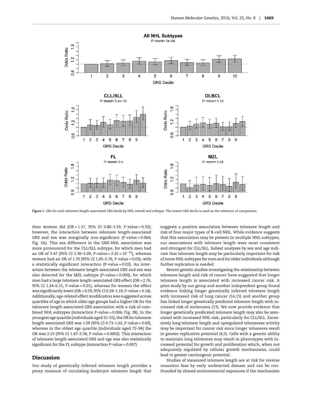<span id="page-6-0"></span>

Figure 1. ORs for each telomere length-associated GRS decile by NHL overall and subtype. The lowest GRS decile is used as the reference of comparison.

than women did  $(OR = 1.17, 95\% CI 0.86-1.59, P-value = 0.33);$ however, the interaction between telomere length-associated GRS and sex was marginally non-significant (P-value = 0.064; Fig. [3A](#page-8-0)). This sex difference in the GRS–NHL association was more pronounced for the CLL/SLL subtype, for which men had an OR of 3.47 (95% CI 2.36–5.09, P-value = 2.25 × 10<sup>−</sup>10), whereas women had an OR of 1.70 (95% CI 1.05–2.76, P-value = 0.03), with a statistically significant interaction (P-value = 0.02). An interaction between the telomere length-associated GRS and sex was also detected for the MZL subtype (P-value = 0.004), for which men had a large telomere length-associated GRS effect (OR = 2.76, 95% CI 1.24–6.15, P-value = 0.01), whereas for women the effect was significantly lower (OR = 0.59, 95% CI 0.29–1.19, P-value = 0.14). Additionally, age-related effect modification was suggested across quartiles of age in which older age groups had a higher OR for the telomere length-associated GRS association with a risk of combined NHL subtypes (interaction P-value = 0.006; Fig. [3](#page-8-0)B). In the youngest age quartile (individuals aged 15–55), the OR for telomere length-associated GRS was 1.09 (95% CI 0.73–1.62, P-value = 0.69), whereas in the oldest age quartile (individuals aged 72–94) the OR was 2.23 (95% CI 1.47–3.38, P-value = 0.0002). This interaction of telomere length-associated GRS and age was also statistically significant for the FL subtype (interaction P-value = 0.007).

# Discussion

Our study of genetically inferred telomere length provides a proxy measure of circulating leukocyte telomere length that suggests a positive association between telomere length and risk of four major types of B-cell NHL. While evidence suggests that this association may be present in multiple NHL subtypes, our associations with telomere length were most consistent and strongest for CLL/SLL. Subset analyses by sex and age indicate that telomere length may be particularly important for risk of some NHL subtypes for men and for older individuals although further replication is needed.

Recent genetic studies investigating the relationship between telomere length and risk of cancer have suggested that longer telomere length is associated with increased cancer risk. A prior study by our group and another independent group found evidence linking longer genetically inferred telomere length with increased risk of lung cancer ([14,15\)](#page-12-0) and another group has linked longer genetically predicted telomere length with increased risk of melanoma [\(13\)](#page-12-0). We now provide evidence that longer genetically predicated telomere length may also be associated with increased NHL risk, particularly for CLL/SLL. Excessively long telomere length and upregulated telomerase activity may be important for cancer risk since longer telomeres result in greater replicative potential  $(4,5)$  $(4,5)$ . Cells with a genetic ability to maintain long telomeres may result in phenotypes with increased potential for growth and proliferation which, when not adequately regulated by cellular growth mechanisms, could lead to greater carcinogenic potential.

Studies of measured telomere length are at risk for reverse causation bias by early undetected disease and can be confounded by shared environmental exposures if the mechanism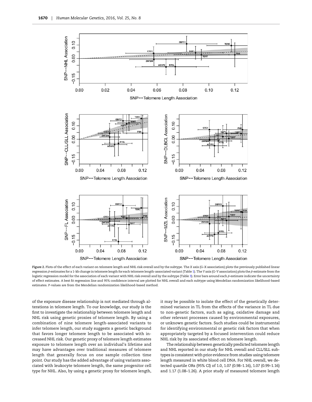<span id="page-7-0"></span>

Figure 2. Plots of the effect of each variant on telomere length and NHL risk overall and by the subtype. The X axis (G–X association) plots the previously published linear regression β-estimates for a 1-kb change in telomere length for each telomere length-associated variant (Table [1](#page-4-0)). The Yaxis (G–Y association) plots the β-estimate from the logistic regression model for the association of each variant with NHL risk overall and by the subtype (Table [3\)](#page-5-0). Error bars around each β-estimate indicate the uncertainty of effect estimates. A best fit regression line and 95% confidence interval are plotted for NHL overall and each subtype using Mendelian randomization likelihood-based estimates. P-values are from the Mendelian randomization likelihood-based method.

of the exposure disease relationship is not mediated through alterations in telomere length. To our knowledge, our study is the first to investigate the relationship between telomere length and NHL risk using genetic proxies of telomere length. By using a combination of nine telomere length-associated variants to infer telomere length, our study suggests a genetic background that favors longer telomere length to be associated with increased NHL risk. Our genetic proxy of telomere length estimates exposure to telomere length over an individual's lifetime and may have advantages over traditional measures of telomere length that generally focus on one sample collection time point. Our study has the added advantage of using variants associated with leukocyte telomere length, the same progenitor cell type for NHL. Also, by using a genetic proxy for telomere length, it may be possible to isolate the effect of the genetically determined variance in TL from the effects of the variance in TL due to non-genetic factors, such as aging, oxidative damage and other relevant processes caused by environmental exposures, or unknown genetic factors. Such studies could be instrumental for identifying environmental or genetic risk factors that when appropriately targeted by a focused intervention could reduce NHL risk by its associated effect on telomere length.

The relationship between genetically predicted telomere length and NHL reported in our study for NHL overall and CLL/SLL subtypes is consistent with prior evidence from studies using telomere length measured in white blood cell DNA. For NHL overall, we detected quartile ORs (95% CI) of 1.0, 1.07 (0.98–1.16), 1.07 (0.99–1.16) and 1.17 (1.08–1.26). A prior study of measured telomere length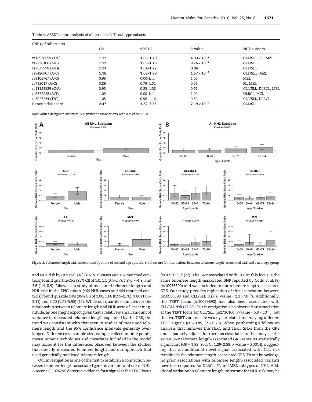| SNP (ref./alternate) |           |               |                       |                     |
|----------------------|-----------|---------------|-----------------------|---------------------|
|                      | <b>OR</b> | 95% CI        | P-value               | NHL subsets         |
| rs10936599 (T/C)     | 1.13      | $1.06 - 1.20$ | $4.33 \times 10^{-5}$ | CLL/SLL, FL, MZL    |
| rs2736100 (A/C)      | 1.12      | $1.05 - 1.19$ | $9.76 \times 10^{-4}$ | CLL/SLL             |
| rs7675998 (A/G)      | 1.11      | $1.01 - 1.22$ | 0.04                  | CLL/SLL             |
| rs9420907 (A/C)      | 1.18      | $1.08 - 1.28$ | $1.57 \times 10^{-4}$ | CLL/SLL, MZL        |
| rs8105767 (A/G)      | 0.96      | $0.00$ –Inf.  | 1.00                  | MZL                 |
| rs755017 (A/G)       | 0.89      | $0.79 - 1.01$ | 0.06                  | FL, MZL             |
| rs11125529 (C/A)     | 0.93      | $0.85 - 1.02$ | 0.11                  | CLL/SLL, DLBCL, MZL |
| rs6772228 (A/T)      | 1.05      | $0.00$ –Inf   | 1.00                  | DLBCL, MZL          |
| rs3027234 (T/C)      | 1.05      | $0.96 - 1.16$ | 0.30                  | CLL/SLL, DLBCL      |
| Genetic risk score   | 2.47      | $1.82 - 3.35$ | $7.19 \times 10^{-9}$ | CLL/SLL             |

<span id="page-8-0"></span>Table 4. ASSET meta-analysis of all possible NHL subtype subsets

Bold values designate statistically significant associations with a P-value < 0.05



Figure 3. Telomere length GRS associations by strata of sex and age quartile. P-values are for interactions between telomere length-associated GRS and sex or age group.

and NHL risk by Lan et al. ([16\)](#page-12-0) (107 NHL cases and 107 matched controls) found quartile ORs (95% CI) of 1.0, 1.1 (0.4–2.7), 1.8 (0.7–4.9) and 3.6 (1.4–8.9). Likewise, a study of measured telomere length and NHL risk in the EPIC cohort (464 NHL cases and 464 matched controls) found quartile ORs (95% CI) of 1.00, 1.66 (0.99–2.78), 1.80 (1.05– 3.11) and 3.20 (1.71–5.98) [\(17](#page-12-0)). While our quartile estimates for the relationship between telomere length and NHL were of lesser magnitude, as one might expect given that a relatively small amount of variance in measured telomere length explained by the GRS, the trend was consistent with that seen in studies of measured telomere length and the 95% confidence intervals generally overlapped. Differences in sample size, sample collection time points, measurement techniques and covariates included in the model may account for the differences observed between the studies that directly measured telomere length and our approach that used genetically predicted telomere length.

Our investigation is one of the first to establish a connection between telomere length-associated genetic variants and risk of NHL. A recent CLL GWAS detected evidence for a signal at the TERC locus (rs10936599) [\(27](#page-12-0)). The SNP associated with CLL at this locus is the same telomere length-associated SNP reported by Codd et al. ([9\)](#page-11-0) (rs10936599) and was included in our telomere length-associated GRS. Our study provides replication of this association between rs10936599 and CLL/SLL risk (P-value =  $2.3 \times 10^{-5}$ ). Additionally, the TERT locus (rs10069690) has also been associated with CLL/SLL risk ([27,28\)](#page-12-0). Our investigation also observed an association at the TERT locus for CLL/SLL (rs2736100, P-value =  $5.9 \times 10^{-5}$ ), but the two TERT variants are weakly correlated and may tag different TERT signals ( $D' = 0.85$ ,  $R^2 = 0.28$ ). When performing a follow-up analysis that removes the TERC and TERT SNPs from the GRS and separately adjusts for them as covariates in the analysis, the seven SNP telomere length-associated GRS remains statistically significant (OR = 1.93, 95% CI 1.29–2.89, P-value = 0.0014), suggesting that an additional novel signal associated with CLL risk remains in the telomere length-associated GRS. To our knowledge, no prior associations with telomere length-associated variants have been reported for DLBCL, FL and MZL subtypes of NHL. Additional variation in telomere length important for NHL risk may be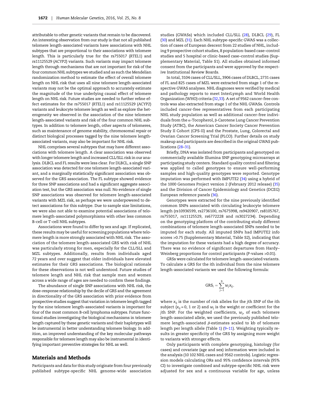attributable to other genetic variants that remain to be discovered. An interesting observation from our study is that not all published telomere length-associated variants have associations with NHL subtypes that are proportional to their associations with telomere length. This is particularly true for the rs755017 (RTEL1) and rs11125529 (ACYP2) variants. Such variants may impact telomere length through mechanisms that are not important for risk of the four common NHL subtypes we studied and as such the Mendelian randomization method to estimate the effect of overall telomere length on NHL risk that uses all nine telomere length-associated variants may not be the optimal approach to accurately estimate the magnitude of the true underlying causal effect of telomere length on NHL risk. Future studies are needed to further refine effect estimates for the rs755017 (RTEL1) and rs11125529 (ACYP2) variants and leukocyte telomere length as well as explore the heterogeneity we observed in the association of the nine telomere length-associated variants and risk of the four common NHL subtypes. In addition to telomere length, other aspects of telomeres, such as maintenance of genome stability, chromosomal repair or distinct biological processes tagged by the nine telomere lengthassociated variants, may also be important for NHL risk.

NHL comprises several subtypes that may have different associations with telomere length. A clear association was observed with longer telomere length and increased CLL/SLL risk in our analysis. DLBCL and FL results were less clear. For DLBCL, a single SNP association was detected for one telomere length-associated variant, and a marginally statistically significant association was observed for the GRS association. The FL subtype showed evidence for three SNP associations and had a significant aggregate association test, but the GRS association was null. No evidence of single SNP associations was observed for telomere length-associated variants with MZL risk, as perhaps we were underpowered to detect associations for this subtype. Due to sample size limitations, we were also not able to examine potential associations of telomere length-associated polymorphisms with other less common B-cell or T-cell NHL subtypes.

Associations were found to differ by sex and age. If replicated, these results may be useful for screening populations where telomere length is more strongly associated with NHL risk. The association of the telomere length-associated GRS with risk of NHL was particularly strong for men, especially for the CLL/SLL and MZL subtypes. Additionally, results from individuals aged 72 years and over suggest that older individuals have elevated estimates for their GRS associations. The biological rationale for these observations is not well understood. Future studies of telomere length and NHL risk that sample men and women across a wide range of ages are needed to confirm these findings.

The abundance of single SNP associations with NHL risk, the dose–response relationship by the decile of GRS and the agreement in directionality of the GRS association with prior evidence from prospective studies suggest that variation in telomere length tagged by the nine telomere length-associated variants is important for four of the most common B-cell lymphoma subtypes. Future functional studies investigating the biological mechanisms in telomere length captured by these genetic variants and their haplotypes will be instrumental in better understanding telomere biology. In addition, an improved understanding of the key molecular pathways responsible for telomere length may also be instrumental in identifying important preventive strategies for NHL as well.

#### Materials and Methods

Participants and data for this study originate from four previously published subtype-specific NHL genome-wide association

studies (GWASs) which included CLL/SLL ([28\)](#page-12-0), DLBCL [\(29\)](#page-12-0), FL [\(30\)](#page-12-0) and MZL ([31](#page-12-0)). Each NHL subtype-specific GWAS was a collection of cases of European descent from 22 studies of NHL, including 9 prospective cohort studies, 8 population-based case–control studies and 5 hospital or clinic-based case–control studies [\(Sup](http://hmg.oxfordjournals.org/lookup/suppl/doi:10.1093/hmg/ddw027/-/DC1)[plementary Material, Table S1\)](http://hmg.oxfordjournals.org/lookup/suppl/doi:10.1093/hmg/ddw027/-/DC1). All studies obtained informed consent from the participants and were approved by the respective Institutional Review Boards.

In total, 3104 cases of CLL/SLL, 3906 cases of DLBCL, 2731 cases of FL and 825 cases of MZL were extracted from stage 1 of the respective GWAS analyses. NHL diagnoses were verified by medical and pathology reports to meet InterLymph and World Health Organization (WHO) criteria ([32,33](#page-12-0)). A set of 9562 cancer-free controls was also extracted from stage 1 of the NHL GWASs. Controls included cancer-free representatives from each participating NHL study population as well as additional cancer-free individuals from the α-Tocopherol, β-Carotene Lung Cancer Prevention Study (ATBC), the American Cancer Society Cancer Prevention Study II Cohort (CPS-II) and the Prostate, Lung, Colorectal and Ovarian Cancer Screening Trial (PLCO). Further details on study makeup and participants are described in the original GWAS publications ([28](#page-12-0)–[31](#page-12-0)).

Briefly, DNA was isolated from participants and genotyped on commercially available Illumina SNP genotyping microarrays at participating study centers. Standard quality control and filtering was applied to called genotypes to ensure well-performing samples and high-quality genotypes were reported. Genotype imputation was performed with IMPUTE2 ([34\)](#page-12-0) using a hybrid of the 1000 Genomes Project version 2 (February 2012 release) [\(35\)](#page-12-0) and the Division of Cancer Epidemiology and Genetics (DCEG) European reference panels ([36](#page-13-0)).

Genotypes were extracted for the nine previously identified common SNPs associated with circulating leukocyte telomere length (rs10936599, rs2736100, rs7675998, rs9420907, rs8105767, rs755017, rs11125529, rs6772228 and rs3027234). Depending on the genotyping platform of the contributing study different combinations of telomere length-associated SNPs needed to be imputed for each study. All imputed SNPs had IMPUTE2 info scores >0.75 ([Supplementary Material, Table S2](http://hmg.oxfordjournals.org/lookup/suppl/doi:10.1093/hmg/ddw027/-/DC1)), indicating that the imputation for these variants had a high degree of accuracy. There was no evidence of significant departures from Hardy– Weinberg proportions for control participants (P-values >0.01).

GRSs were calculated for telomere length-associated variants. To calculate a GRS for the ith individual from the nine telomere length-associated variants we used the following formula:

$$
GRS_i = \sum_{j=1}^9 w_j x_{ij}, \qquad
$$

where  $x_{ij}$  is the number of risk alleles for the jth SNP of the ith subject ( $x_{ij}$  = 0, 1 or 2) and  $w_j$  is the weight or coefficient for the jth SNP. For the weighted coefficients,  $w_i$ , of each telomere length-associated allele, we used the previously published telomere length-associated β-estimates scaled to kb of telomere length per length allele (Table [1\)](#page-4-0) ([9](#page-11-0)–[11](#page-12-0)). Weighting typically results in greater specificity of the GRS by assigning more weight to variants with stronger effects.

Only participants with complete genotyping, histology (for cases) and covariate (age and sex) information were included in the analysis (10 102 NHL cases and 9562 controls). Logistic regression models calculating ORs and 95% confidence intervals (95% CI) to investigate combined and subtype-specific NHL risk were adjusted for sex and a continuous variable for age, unless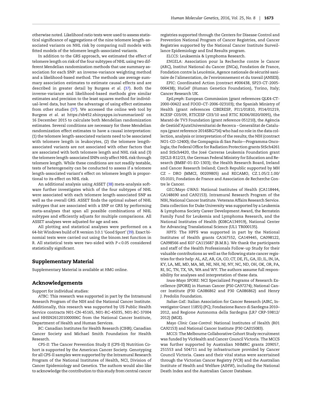otherwise noted. Likelihood ratio tests were used to assess statistical significance of aggregations of the nine telomere length-associated variants on NHL risk by comparing null models with fitted models of the telomere length-associated variants.

In addition to the GRS approach, we estimated the effect of telomere length on risk of the four subtypes of NHL using two different Mendelian randomization methods that use summary association for each SNP: an inverse-variance weighting method and a likelihood-based method. The methods use average summary association estimates to estimate causal effects and are described in greater detail by Burgess et al. [\(37\)](#page-13-0). Both the inverse-variance and likelihood-based methods give similar estimates and precision to the least squares method for individual-level data, but have the advantage of using effect estimates from other studies ([37](#page-13-0)). We accessed the online web tool by Burgess et al. at<https://sb452.shinyapps.io/summarized/> on 16 December 2015 to calculate both Mendelian randomization estimates. Several conditions are necessary for these Mendelian randomization effect estimates to have a causal interpretation: (1) the telomere length-associated variants need to be associated with telomere length in leukocytes, (2) the telomere lengthassociated variants are not associated with other factors that are associated with both telomere length and NHL risk and (3) the telomere length-associated SNPs only affect NHL risk through telomere length. While these conditions are not readily testable, tests of heterogeneity can be conducted to assess if a telomere length-associated variant's effect on telomere length is proportional to its effect on NHL risk.

An additional analysis using ASSET [\(38\)](#page-13-0) meta-analysis software further investigates which of the four subtypes of NHL were associated with each telomere length-associated SNP as well as the overall GRS. ASSET finds the optimal subset of NHL subtypes that are associated with a SNP or GRS by performing meta-analyses that span all possible combinations of NHL subtypes and efficiently adjusts for multiple comparisons. All ASSET analyses were adjusted for age and sex.

All plotting and statistical analyses were performed on a 64-bit Windows build of R version 3.0.1 'Good Sport' ([39](#page-13-0)). Exact binomial tests were carried out using the binom.test function in R. All statistical tests were two-sided with P < 0.05 considered statistically significant.

## Supplementary Material

[Supplementary Material is available at](http://hmg.oxfordjournals.org/lookup/suppl/doi:10.1093/hmg/ddw027/-/DC1) HMG online.

# Acknowledgements

Support for individual studies:

ATBC: This research was supported in part by the Intramural Research Program of the NIH and the National Cancer Institute. Additionally, this research was supported by US Public Health Service contracts N01-CN-45165, N01-RC-45035, N01-RC-37004 and HHSN261201000006C from the National Cancer Institute, Department of Health and Human Services.

BC: Canadian Institutes for Health Research (CIHR); Canadian Cancer Society and Michael Smith Foundation for Health Research.

CPS-II: The Cancer Prevention Study II (CPS-II) Nutrition Cohort is supported by the American Cancer Society. Genotyping for all CPS-II samples were supported by the Intramural Research Program of the National Institutes of Health, NCI, Division of Cancer Epidemiology and Genetics. The authors would also like to acknowledge the contribution to this study from central cancer

registries supported through the Centers for Disease Control and Prevention National Program of Cancer Registries, and Cancer Registries supported by the National Cancer Institute Surveillance Epidemiology and End Results program.

ELCCS: Leukaemia & Lymphoma Research.

ENGELA: Association pour la Recherche contre le Cancer (ARC), Institut National du Cancer (INCa), Fondation de France, Fondation contre la Leucémie, Agence nationale de sécurité sanitaire de l'alimentation, de l'environnement et du travail (ANSES).

EPIC: Coordinated Action (contract #006438, SP23-CT-2005- 006438); HuGeF (Human Genetics Foundation), Torino, Italy; Cancer Research UK.

EpiLymph: European Commission (grant references QLK4-CT-2000-00422 and FOOD-CT-2006-023103); the Spanish Ministry of Health (grant references CIBERESP, PI11/01810, PI14/01219, RCESP C03/09, RTICESP C03/10 and RTIC RD06/0020/0095), the Marató de TV3 Foundation (grant reference 051210), the Agència de Gestiód'AjutsUniversitarisi de Recerca – Generalitat de Catalunya (grant reference 2014SRG756) who had no role in the data collection, analysis or interpretation of the results; the NIH (contract NO1-CO-12400); the Compagnia di San Paolo—Programma Oncologia; the Federal Office for Radiation Protection grants StSch4261 and StSch4420, the José Carreras Leukemia Foundation grant DJCLS-R12/23, the German Federal Ministry for Education and Research (BMBF-01-EO-1303); the Health Research Board, Ireland and Cancer Research Ireland; Czech Republic supported by MH CZ – DRO (MMCI, 00209805) and RECAMO, CZ.1.05/2.1.00/ 03.0101; Fondation de France and Association de Recherche Contre le Cancer.

GEC/Mayo GWAS: National Institutes of Health (CA118444, CA148690 and CA92153). Intramural Research Program of the NIH, National Cancer Institute. Veterans Affairs Research Service. Data collection for Duke University was supported by a Leukemia & Lymphoma Society Career Development Award, the Bernstein Family Fund for Leukemia and Lymphoma Research, and the National Institutes of Health (K08CA134919), National Center for Advancing Translational Science (UL1 TR000135).

HPFS: The HPFS was supported in part by the National Institutes of Health grants CA167552, CA149445, CA098122, CA098566 and K07 CA115687 (B.M.B.). We thank the participants and staff of the Health Professionals Follow-up Study for their valuable contributions as well as the following state cancer registries for their help: AL, AZ, AR, CA, CO, CT, DE, FL, GA, ID, IL, IN, IA, KY, LA, ME, MD, MA, MI, NE, NH, NJ, NY, NC, ND, OH, OK, OR, PA, RI, SC, TN, TX, VA, WA and WY. The authors assume full responsibility for analyses and interpretation of these data.

Iowa-Mayo SPORE: NCI Specialized Programs of Research Excellence (SPORE) in Human Cancer (P50 CA97274); National Cancer Institute (P30 CA086862 and P30 CA086862) and Henry J. Predolin Foundation.

Italian GxE: Italian Association for Cancer Research (AIRC, Investigator Grant 11855) (PC); Fondazione Banco di Sardegna 2010– 2012, and Regione Autonoma della Sardegna (LR7 CRP-59812/ 2012) (MGE).

Mayo Clinic Case-Control: National Institutes of Health (R01 CA92153) and National Cancer Institute (P30 CA015083).

MCCS: The Melbourne Collaborative Cohort Study recruitment was funded by VicHealth and Cancer Council Victoria. The MCCS was further supported by Australian NHMRC grants 209057, 251553 and 504711 and by infrastructure provided by Cancer Council Victoria. Cases and their vital status were ascertained through the Victorian Cancer Registry (VCR) and the Australian Institute of Health and Welfare (AIHW), including the National Death Index and the Australian Cancer Database.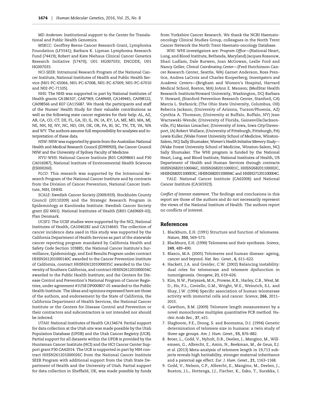<span id="page-11-0"></span>MD Anderson: Institutional support to the Center for Translational and Public Health Genomics.

MSKCC: Geoffrey Beene Cancer Research Grant, Lymphoma Foundation (LF5541); Barbara K. Lipman Lymphoma Research Fund (74419); Robert and Kate Niehaus Clinical Cancer Genetics Research Initiative (57470); U01 HG007033; ENCODE; U01 HG007033.

NCI-SEER: Intramural Research Program of the National Cancer Institute, National Institutes of Health and Public Health Service (N01-PC-65064, N01-PC-67008, N01-PC-67009, N01-PC-67010 and N02-PC-71105).

NHS: The NHS was supported in part by National Institutes of Health grants CA186107, CA87969, CA49449, CA149445, CA098122, CA098566 and K07 CA115687. We thank the participants and staff of the Nurses' Health Study for their valuable contributions as well as the following state cancer registries for their help: AL, AZ, AR, CA, CO, CT, DE, FL, GA, ID, IL, IN, IA, KY, LA, ME, MD, MA, MI, NE, NH, NJ, NY, NC, ND, OH, OK, OR, PA, RI, SC, TN, TX, VA, WA and WY. The authors assume full responsibility for analyses and interpretation of these data.

NSW: NSW was supported by grants from the Australian National Health and Medical Research Council (ID990920), the Cancer Council NSW and the University of Sydney Faculty of Medicine.

NYU-WHS: National Cancer Institute (R01 CA098661 and P30 CA016087); National Institute of Environmental Health Sciences (ES000260).

PLCO: This research was supported by the Intramural Research Program of the National Cancer Institute and by contracts from the Division of Cancer Prevention, National Cancer Institute, NIH, DHHS.

SCALE: Swedish Cancer Society (2009/659). Stockholm County Council (20110209) and the Strategic Research Program in Epidemiology at Karolinska Institute. Swedish Cancer Society grant (02 6661). National Institutes of Health (5R01 CA69669-02); Plan Denmark.

UCSF2: The UCSF studies were supported by the NCI, National Institutes of Health, CA1046282 and CA154643. The collection of cancer incidence data used in this study was supported by the California Department of Health Services as part of the statewide cancer reporting program mandated by California Health and Safety Code Section 103885; the National Cancer Institute's Surveillance, Epidemiology, and End Results Program under contract HHSN261201000140C awarded to the Cancer Prevention Institute of California, contract HHSN261201000035C awarded to the University of Southern California, and contract HHSN261201000034C awarded to the Public Health Institute; and the Centers for Disease Control and Prevention's National Program of Cancer Registries, under agreement #1U58 DP000807-01 awarded to the Public Health Institute. The ideas and opinions expressed here are those of the authors, and endorsement by the State of California, the California Department of Health Services, the National Cancer Institute or the Centers for Disease Control and Prevention or their contractors and subcontractors is not intended nor should be inferred.

UTAH: National Institutes of Health CA134674. Partial support for data collection at the Utah site was made possible by the Utah Population Database (UPDB) and the Utah Cancer Registry (UCR). Partial support for all datasets within the UPDB is provided by the Huntsman Cancer Institute (HCI) and the HCI Cancer Center Support grant P30 CA42014. The UCR is supported in part by NIH contract HHSN261201000026C from the National Cancer Institute SEER Program with additional support from the Utah State Department of Health and the University of Utah. Partial support for data collection in Sheffield, UK, was made possible by funds from Yorkshire Cancer Research. We thank the NCRI Haematooncology Clinical Studies Group, colleagues in the North Trent Cancer Network the North Trent Haemato-oncology Database.

WHI: WHI investigators are: Program Office-(National Heart, Lung, and Blood Institute, Bethesda, Maryland) Jacques Rossouw, Shari Ludlam, Dale Burwen, Joan McGowan, Leslie Ford and Nancy Geller; Clinical Coordinating Center—(Fred Hutchinson Cancer Research Center, Seattle, WA) Garnet Anderson, Ross Prentice, Andrea LaCroix and Charles Kooperberg; Investigators and Academic Centers—(Brigham and Women's Hospital, Harvard Medical School, Boston, MA) JoAnn E. Manson; (MedStar Health Research Institute/Howard University, Washington, DC) Barbara V. Howard; (Stanford Prevention Research Center, Stanford, CA) Marcia L. Stefanick; (The Ohio State University, Columbus, OH) Rebecca Jackson; (University of Arizona, Tucson/Phoenix, AZ) Cynthia A. Thomson; (University at Buffalo, Buffalo, NY) Jean Wactawski-Wende; (University of Florida, Gainesville/Jacksonville, FL) Marian Limacher; (University of Iowa, Iowa City/Davenport, IA) Robert Wallace; (University of Pittsburgh, Pittsburgh, PA) Lewis Kuller; (Wake Forest University School of Medicine, Winston-Salem, NC) Sally Shumaker; Women's Health Initiative Memory Study-(Wake Forest University School of Medicine, Winston-Salem, NC) Sally Shumaker. The WHI program is funded by the National Heart, Lung, and Blood Institute, National Institutes of Health, US Department of Health and Human Services through contracts HHSN268201100046C, HHSN268201100001C, HHSN268201100002C, HHSN268201100003C, HHSN268201100004C and HHSN271201100004C.

YALE: National Cancer Institute (CA62006) and National Cancer Institute (CA165923).

Conflict of Interest statement. The findings and conclusions in this report are those of the authors and do not necessarily represent the views of the National Institute of Health. The authors report no conflicts of interest.

#### References

- 1. Blackburn, E.H. (1991) Structure and function of telomeres. Nature, 350, 569–573.
- 2. Blackburn, E.H. (1990) Telomeres and their synthesis. Science, 249, 489–490.
- 3. Blasco, M.A. (2005) Telomeres and human disease: ageing, cancer and beyond. Nat. Rev. Genet., 6, 611–622.
- 4. Hackett, J.A. and Greider, C.W. (2002) Balancing instability: dual roles for telomerase and telomere dysfunction in tumorigenesis. Oncogene, 21, 619–626.
- 5. Kim, N.W., Piatyszek, M.A., Prowse, K.R., Harley, C.B., West, M. D., Ho, P.L., Coviello, G.M., Wright, W.E., Weinrich, S.L. and Shay, J.W. (1994) Specific association of human telomerase activity with immortal cells and cancer. Science, 266, 2011– 2015.
- 6. Cawthon, R.M. (2009) Telomere length measurement by a novel monochrome multiplex quantitative PCR method. Nucleic Acids Res., 37, e21.
- 7. Slagboom, P.E., Droog, S. and Boomsma, D.I. (1994) Genetic determination of telomere size in humans: a twin study of three age groups. Am. J. Hum. Genet., 55, 876–882.
- 8. Broer, L., Codd, V., Nyholt, D.R., Deelen, J., Mangino, M., Willemsen, G., Albrecht, E., Amin, N., Beekman, M., de Geus, E.J. et al. (2013) Meta-analysis of telomere length in 19,713 subjects reveals high heritability, stronger maternal inheritance and a paternal age effect. Eur. J. Hum. Genet., 21, 1163–1168.
- 9. Codd, V., Nelson, C.P., Albrecht, E., Mangino, M., Deelen, J., Buxton, J.L., Hottenga, J.J., Fischer, K., Esko, T., Surakka, I.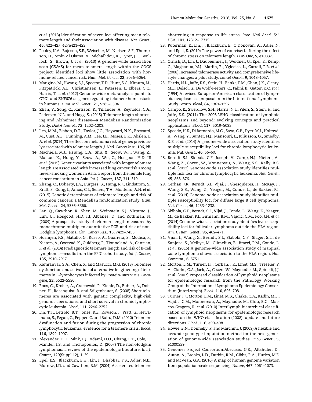<span id="page-12-0"></span>et al. (2013) Identification of seven loci affecting mean telomere length and their association with disease. Nat. Genet., 45, 422–427, 427e421–422.

- 10. Pooley, K.A., Bojesen, S.E., Weischer, M., Nielsen, S.F., Thompson, D., Amin Al Olama, A., Michailidou, K., Tyrer, J.P., Benlloch, S., Brown, J. et al. (2013) A genome-wide association scan (GWAS) for mean telomere length within the COGS project: identified loci show little association with hormone-related cancer risk. Hum. Mol. Genet., 22, 5056–5064.
- 11. Mangino, M., Hwang, S.J., Spector, T.D., Hunt, S.C., Kimura, M., Fitzpatrick, A.L., Christiansen, L., Petersen, I., Elbers, C.C., Harris, T. et al. (2012) Genome-wide meta-analysis points to CTC1 and ZNF676 as genes regulating telomere homeostasis in humans. Hum. Mol. Genet., 21, 5385–5394.
- 12. Zhan, Y., Song, C., Karlsson, R., Tillander, A., Reynolds, C.A., Pedersen, N.L. and Hagg, S. (2015) Telomere length shortening and Alzheimer disease—a Mendelian Randomization Study. JAMA Neurol., 72, 1202–1203.
- 13. Iles, M.M., Bishop, D.T., Taylor, J.C., Hayward, N.K., Brossard, M., Cust, A.E., Dunning, A.M., Lee, J.E., Moses, E.K., Akslen, L. A. et al. (2014) The effect on melanoma risk of genes previously associated with telomere length. J. Natl. Cancer Inst., 106, Pii.
- 14. Machiela, M.J., Hsiung, C.A., Shu, X., Seow, W.J., Wang, Z., Matsuo, K., Hong, Y., Seow, A., Wu, C., Hosgood, H.D. III et al. (2015) Genetic variants associated with longer telomere length are associated with increased lung cancer risk among never-smoking women in Asia: a report from the female lung cancer consortium in Asia. Int. J. Cancer, 137, 311–319.
- 15. Zhang, C., Doherty, J.A., Burgess, S., Hung, R.J., Lindstrom, S., Kraft, P., Gong, J., Amos, C.I., Sellers, T.A., Monteiro, A.N. et al. (2015) Genetic determinants of telomere length and risk of common cancers: a Mendelian randomization study. Hum. Mol. Genet., 24, 5356–5366.
- 16. Lan, Q., Cawthon, R., Shen, M., Weinstein, S.J., Virtamo, J., Lim, U., Hosgood, H.D. III, Albanes, D. and Rothman, N. (2009) A prospective study of telomere length measured by monochrome multiplex quantitative PCR and risk of non-Hodgkin lymphoma. Clin. Cancer Res., 15, 7429–7433.
- 17. Hosnijeh, F.S., Matullo, G., Russo, A., Guarrera, S., Modica, F., Nieters, A., Overvad, K., Guldberg, P., Tjonneland, A., Canzian, F. et al. (2014) Prediagnostic telomere length and risk of B-cell lymphoma—results from the EPIC cohort study. Int. J. Cancer, 135, 2910–2917.
- 18. Kamranvar, S.A., Chen, X. and Masucci, M.G. (2013) Telomere dysfunction and activation of alternative lengthening of telomeres in B-lymphocytes infected by Epstein-Barr virus. Oncogene, 32, 5522–5530.
- 19. Roos, G., Krober, A., Grabowski, P., Kienle, D., Buhler, A., Dohner, H., Rosenquist, R. and Stilgenbauer, S. (2008) Short telomeres are associated with genetic complexity, high-risk genomic aberrations, and short survival in chronic lymphocytic leukemia. Blood, 111, 2246–2252.
- 20. Lin, T.T., Letsolo, B.T., Jones, R.E., Rowson, J., Pratt, G., Hewamana, S., Fegan, C., Pepper, C. and Baird, D.M. (2010) Telomere dysfunction and fusion during the progression of chronic lymphocytic leukemia: evidence for a telomere crisis. Blood, 116, 1899–1907.
- 21. Alexander, D.D., Mink, P.J., Adami, H.O., Chang, E.T., Cole, P., Mandel, J.S. and Trichopoulos, D. (2007) The non-Hodgkin lymphomas: a review of the epidemiologic literature. Int. J. Cancer, 120(Suppl 12), 1–39.
- 22. Epel, E.S., Blackburn, E.H., Lin, J., Dhabhar, F.S., Adler, N.E., Morrow, J.D. and Cawthon, R.M. (2004) Accelerated telomere

shortening in response to life stress. Proc. Natl Acad. Sci. USA, 101, 17312–17315.

- 23. Puterman, E., Lin, J., Blackburn, E., O'Donovan, A., Adler, N. and Epel, E. (2010) The power of exercise: buffering the effect of chronic stress on telomere length. PLoS One, 5, e10837.
- 24. Ornish, D., Lin, J., Daubenmier, J., Weidner, G., Epel, E., Kemp, C., Magbanua, M.J., Marlin, R., Yglecias, L., Carroll, P.R. et al. (2008) Increased telomerase activity and comprehensive lifestyle changes: a pilot study. Lancet Oncol., 9, 1048–1057.
- 25. Harris, N.L., Jaffe, E.S., Stein, H., Banks, P.M., Chan, J.K., Cleary, M.L., Delsol, G., De Wolf-Peeters, C., Falini, B., Gatter, K.C. et al. (1994) A revised European-American classification of lymphoid neoplasms: a proposal from the International Lymphoma Study Group. Blood, 84, 1361–1392.
- 26. Campo, E., Swerdlow, S.H., Harris, N.L., Pileri, S., Stein, H. and Jaffe, E.S. (2011) The 2008 WHO classification of lymphoid neoplasms and beyond: evolving concepts and practical applications. Blood, 117, 5019–5032.
- 27. Speedy, H.E., Di Bernardo, M.C., Sava, G.P., Dyer, M.J., Holroyd, A., Wang, Y., Sunter, N.J., Mansouri, L., Juliusson, G., Smedby, K.E. et al. (2014) A genome-wide association study identifies multiple susceptibility loci for chronic lymphocytic leukemia. Nat. Genet., 46, 56–60.
- 28. Berndt, S.I., Skibola, C.F., Joseph, V., Camp, N.J., Nieters, A., Wang, Z., Cozen, W., Monnereau, A., Wang, S.S., Kelly, R.S. et al. (2013) Genome-wide association study identifies multiple risk loci for chronic lymphocytic leukemia. Nat. Genet., 45, 868–876.
- 29. Cerhan, J.R., Berndt, S.I., Vijai, J., Ghesquieres, H., McKay, J., Wang, S.S., Wang, Z., Yeager, M., Conde, L., de Bakker, P.I. et al. (2014) Genome-wide association study identifies multiple susceptibility loci for diffuse large B cell lymphoma. Nat. Genet., 46, 1233–1238.
- 30. Skibola, C.F., Berndt, S.I., Vijai, J., Conde, L., Wang, Z., Yeager, M., de Bakker, P.I., Birmann, B.M., Vajdic, C.M., Foo, J.N. et al. (2014) Genome-wide association study identifies five susceptibility loci for follicular lymphoma outside the HLA region. Am. J. Hum. Genet., 95, 462–471.
- 31. Vijai, J., Wang, Z., Berndt, S.I., Skibola, C.F., Slager, S.L., de Sanjose, S., Melbye, M., Glimelius, B., Bracci, P.M., Conde, L. et al. (2015) A genome-wide association study of marginal zone lymphoma shows association to the HLA region. Nat. Commun., 6, 5751.
- 32. Morton, L.M., Turner, J.J., Cerhan, J.R., Linet, M.S., Treseler, P. A., Clarke, C.A., Jack, A., Cozen, W., Maynadie, M., Spinelli, J.J. et al. (2007) Proposed classification of lymphoid neoplasms for epidemiologic research from the Pathology Working Group of the International Lymphoma Epidemiology Consortium (InterLymph). Blood, 110, 695–708.
- 33. Turner, J.J., Morton, L.M., Linet, M.S., Clarke, C.A., Kadin, M.E., Vajdic, C.M., Monnereau, A., Maynadie, M., Chiu, B.C., Marcos-Gragera, R. et al. (2010) InterLymph hierarchical classification of lymphoid neoplasms for epidemiologic research based on the WHO classification (2008): update and future directions. Blood, 116, e90–e98.
- 34. Howie, B.N., Donnelly, P. and Marchini, J. (2009) A flexible and accurate genotype imputation method for the next generation of genome-wide association studies. PLoS Genet., 5, e1000529.
- 35. Genomes Project ConsortiumAbecasis, G.R., Altshuler, D., Auton, A., Brooks, L.D., Durbin, R.M., Gibbs, R.A., Hurles, M.E. and McVean, G.A. (2010) A map of human genome variation from population-scale sequencing. Nature, 467, 1061–1073.